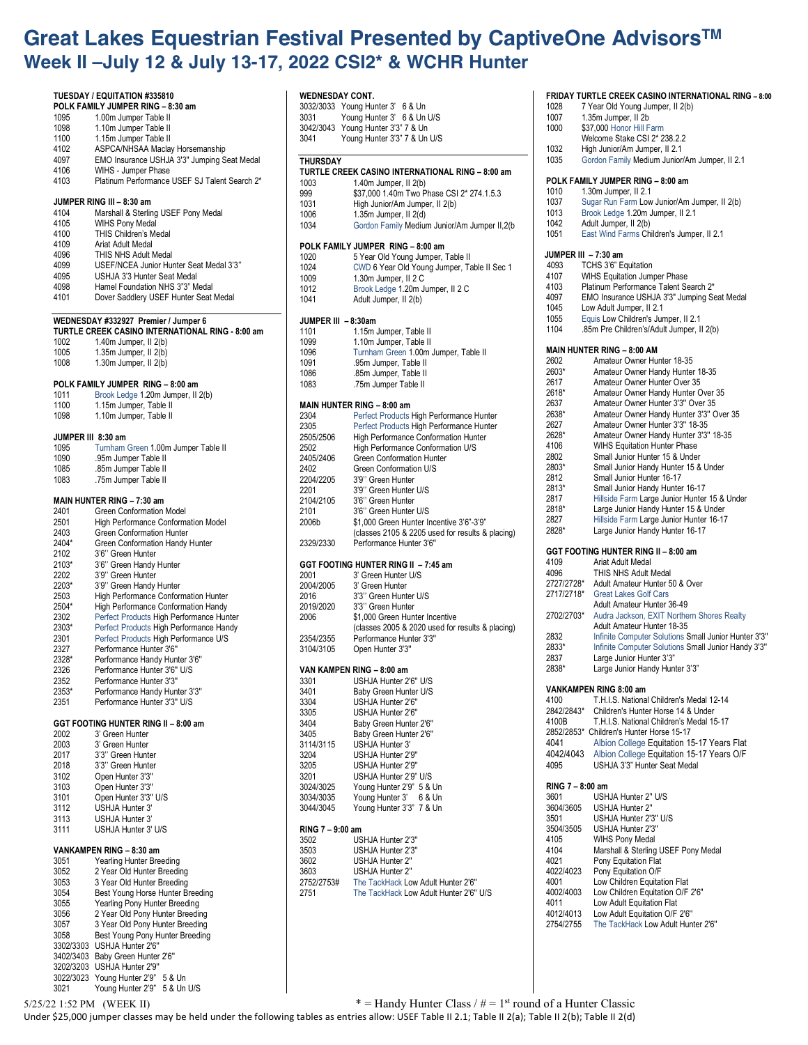# **Great Lakes Equestrian Festival Presented by CaptiveOne AdvisorsTM Week II –July 12 & July 13-17, 2022 CSI2\* & WCHR Hunter**

### **TUESDAY / EQUITATION #335810 POLK FAMILY JUMPER RING – 8:30 am** 1095 1.00m Jumper Table II<br>1098 110m Jumper Table II 1098 1.10m Jumper Table II<br>1100 1.15m Jumper Table II 1100 1.15m Jumper Table II<br>4102 ASPCA/NHSAA Maclay 4102 ASPCA/NHSAA Maclay Horsemanship<br>4097 EMO Insurance USHJA 3'3" Jumping S 4097 EMO Insurance USHJA 3'3" Jumping Seat Medal 4106 WIHS - Jumper Phase<br>4103 Platinum Performance Platinum Performance USEF SJ Talent Search 2\* **JUMPER RING III – 8:30 am** 4104 Marshall & Sterling USEF Pony Medal<br>4105 WIHS Pony Medal WIHS Pony Medal 4100 THIS Children's Medal<br>4109 Ariat Adult Medal 4109 Ariat Adult Medal THIS NHS Adult Medal 4099 USEF/NCEA Junior Hunter Seat Medal 3'3'' 4095 USHJA 3'3 Hunter Seat Medal<br>4098 Hamel Foundation NHS 3"3" M Hamel Foundation NHS 3"3" Medal 4101 Dover Saddlery USEF Hunter Seat Medal **WEDNESDAY #332927 Premier / Jumper 6 TURTLE CREEK CASINO INTERNATIONAL RING - 8:00 am** 1002 1.40m Jumper, II 2(b)<br>1005 1.35m Jumper, II 2(b) 1005 1.35m Jumper, II 2(b)<br>1008 1.30m Jumper II 2(b) 1.30m Jumper, II  $2(b)$ **POLK FAMILY JUMPER RING – 8:00 am** 1011 Brook Ledge 1.20m Jumper, II 2(b) 1100 1.15m Jumper, Table II 1098 1.10m Jumper, Table II **JUMPER III 8:30 am** 1095 Turnham Green 1.00m Jumper Table II 1090 .95m Jumper Table II .85m Jumper Table II 1083 .75m Jumper Table II **MAIN HUNTER RING – 7:30 am** 2401 Green Conformation Model 2501 High Performance Conformation Model<br>2403 Green Conformation Hunter 2403 Green Conformation Hunter<br>2404\* Green Conformation Handy 2404\* Green Conformation Handy Hunter<br>2102 3'6'' Green Hunter 2102 3'6" Green Hunter<br>2103\* 3'6" Green Handy 2103\* 3'6" Green Handy Hunter<br>2202 3'9" Green Hunter 2202 3'9" Green Hunter<br>2203\* 3'9" Green Handy 3'9" Green Handy Hunter 2503 High Performance Conformation Hunter<br>2504\* High Performance Conformation Handy 2504\* High Performance Conformation Handy<br>2302 Perfect Products High Performance Hur Perfect Products High Performance Hunter 2303\* Perfect Products High Performance Handy 2301 Perfect Products High Performance U/S<br>2327 Performance Hunter 3'6" Performance Hunter 3'6' 2328\* Performance Handy Hunter 3'6'' 2326 Performance Hunter 3'6'' U/S 2352 Performance Hunter 3'3'' 2353\* Performance Handy Hunter 3'3'' 2351 Performance Hunter 3'3'' U/S **GGT FOOTING HUNTER RING II – 8:00 am**  3' Green Hunter 2003 3' Green Hunter 2017 3'3'' Green Hunter 3'3" Green Hunter 3102 Open Hunter 3'3'' 3103 Open Hunter 3'3'' Open Hunter 3'3" U/S 3112 USHJA Hunter 3' 3113 USHJA Hunter 3<br>3111 USHJA Hunter 3 USHJA Hunter 3' U/S **VANKAMPEN RING – 8:30 am**  3051 Yearling Hunter Breeding 2 Year Old Hunter Breeding 3053 3 Year Old Hunter Breeding 3054 Best Young Horse Hunter Breeding<br>3055 Yearling Pony Hunter Breeding **WEDNESDAY CONT.** 3032/3033 Young Hunter 3' 6 & Un **THURSDAY**

### 3031 Young Hunter 3' 6 & Un U/S 3042/3043 Young Hunter 3'3" 7 & Un Young Hunter 3'3" 7 & Un U/S **TURTLE CREEK CASINO INTERNATIONAL RING – 8:00 am** 1003 1.40m Jumper, II 2(b) 999 \$37,000 1.40m Two Phase CSI 2\* 274.1.5.3 1031 High Junior/Am Jumper, II 2(b)<br>1006 135m Jumper II 2(d) 1.35m Jumper, II  $2(d)$ 1034 Gordon Family Medium Junior/Am Jumper II,2(b **POLK FAMILY JUMPER RING – 8:00 am** 1020 5 Year Old Young Jumper, Table II 1024 CWD 6 Year Old Young Jumper, Table II Sec 1 1009 1.30m Jumper, II 2 C<br>1012 Brook Ledge 1 20m Ju Brook Ledge 1.20m Jumper, II 2 C 1041 Adult Jumper, II 2(b) **JUMPER III – 8:30am** 1101 1.15m Jumper, Table II<br>1099 1.10m Jumper Table II 1099 1.10m Jumper, Table II<br>1096 100m Turnham Green 1.00m 1096 Turnham Green 1.00m Jumper, Table II<br>1091 95m Jumper Table II .95m Jumper, Table II 1086 .85m Jumper, Table II<br>1083 .75m Jumper Table II .75m Jumper Table II **MAIN HUNTER RING – 8:00 am**  2304 Perfect Products High Performance Hunter<br>2305 Perfect Products High Performance Hunter Perfect Products High Performance Hunter 2505/2506 High Performance Conformation Hunter 2502 High Performance Conformation U/S 2405/2406 Green Conformation Hunter<br>2402 Green Conformation U/S 2402 Green Conformation U/S 2204/2205 3'9'' Green Hunter 2201 3'9" Green Hunter U/S<br>2104/2105 3'6" Green Hunter 2104/2105 3'6" Green Hunter<br>2101 3'6" Green Hunter 3'6" Green Hunter U/S 2006b \$1,000 Green Hunter Incentive 3'6"-3'9" (classes 2105 & 2205 used for results & placing) 2329/2330 Performance Hunter 3'6'' **GGT FOOTING HUNTER RING II – 7:45 am**  2001 3' Green Hunter U/S<br>2004/2005 3' Green Hunter 3' Green Hunter 2016 3'3" Green Hunter U/S<br>2019/2020 3'3" Green Hunter 2019/2020 3'3'' Green Hunter \$1,000 Green Hunter Incentive (classes 2005 & 2020 used for results & placing) 2354/2355 Performance Hunter 3'3'' Open Hunter 3'3' **VAN KAMPEN RING – 8:00 am**  3301 USHJA Hunter 2'6'' U/S 3401 Baby Green Hunter U/S 3304 USHJA Hunter 2'6'' 3305 USHJA Hunter 2'6'' 3404 Baby Green Hunter 2'6"<br>3405 Baby Green Hunter 2'6" Baby Green Hunter 2'6" 3114/3115 USHJA Hunter 3'<br>3204 USH JA Hunter 2' 3204 USHJA Hunter 2'9'' USHJA Hunter 2'9" 3201 USHJA Hunter 2'9" U/S<br>3024/3025 Young Hunter 2'9" 5 & 3024/3025 Young Hunter 2'9" 5 & Un Young Hunter 3' 6 & Un 3044/3045 Young Hunter 3'3" 7 & Un **RING 7 – 9:00 am**  3502 USHJA Hunter 2'3'' USHJA Hunter 2'3' 3602 USHJA Hunter 2'' 3603 USHJA Hunter 2'' The TackHack Low Adult Hunter 2'6" 2751 The TackHack Low Adult Hunter 2'6'' U/S **VAN RING 7 – 8:00 am** 360<br>350

#### **FRIDAY TURTLE CREEK CASINO INTERNATIONAL RING – 8:00**

| 1028 | 7 Year Old Young Jumper, II 2(b) |
|------|----------------------------------|
| 1007 | 1.35m Jumper, II 2b              |

| 1000 | \$37,000 Honor Hill Farm |
|------|--------------------------|
|      |                          |

- Welcome Stake CSI 2\* 238.2.2
- 1032 High Junior/Am Jumper, II 2.1
- 1035 Gordon Family Medium Junior/Am Jumper, II 2.1

## **POLK FAMILY JUMPER RING – 8:00 am**

- 1010 1.30m Jumper, II 2.1
- 1037 Sugar Run Farm Low Junior/Am Jumper, II 2(b)
- 1013 Brook Ledge 1.20m Jumper, II 2.1<br>1042 Adult Jumper II 2(b) Adult Jumper, II 2(b)
- 1051 East Wind Farms Children's Jumper, II 2.1

#### **JUMPER III – 7:30 am**

| 4093                       | TCHS 3'6" Equitation                        |  |
|----------------------------|---------------------------------------------|--|
| 4107                       | <b>WIHS Equitation Jumper Phase</b>         |  |
| 4103                       | Platinum Performance Talent Search 2*       |  |
| 4097                       | EMO Insurance USHJA 3'3" Jumping Seat Medal |  |
| 1045                       | Low Adult Jumper, II 2.1                    |  |
| 1055                       | Equis Low Children's Jumper, II 2.1         |  |
| 1104                       | .85m Pre Children's/Adult Jumper, II 2(b)   |  |
|                            |                                             |  |
| MAIN HUNTER RING - 8:00 AM |                                             |  |
| วคกว                       | Amatour Owner Hunter 18-35                  |  |

| 2602             | Amateur Owner Hunter 18-35                           |
|------------------|------------------------------------------------------|
| 2603*            | Amateur Owner Handy Hunter 18-35                     |
| 2617             | Amateur Owner Hunter Over 35                         |
| 2618*            | Amateur Owner Handy Hunter Over 35                   |
| 2637             | Amateur Owner Hunter 3'3" Over 35                    |
| 2638*            | Amateur Owner Handy Hunter 3'3" Over 35              |
| 2627             | Amateur Owner Hunter 3'3" 18-35                      |
| 2628*            | Amateur Owner Handy Hunter 3'3" 18-35                |
| 4106             | <b>WIHS Equitation Hunter Phase</b>                  |
| 2802             | Small Junior Hunter 15 & Under                       |
| 2803*            | Small Junior Handy Hunter 15 & Under                 |
| 2812             | Small Junior Hunter 16-17                            |
| 2813*            | Small Junior Handy Hunter 16-17                      |
| 2817             | Hillside Farm Large Junior Hunter 15 & Under         |
| 2818*            | Large Junior Handy Hunter 15 & Under                 |
| 2827             | Hillside Farm Large Junior Hunter 16-17              |
| 2828*            | Large Junior Handy Hunter 16-17                      |
|                  | GGT FOOTING HUNTER RING II - 8:00 am                 |
| 4109             | Ariat Adult Medal                                    |
| 4096             | THIS NHS Adult Medal                                 |
| 2727/2728*       | Adult Amateur Hunter 50 & Over                       |
| 2717/2718*       | <b>Great Lakes Golf Cars</b>                         |
|                  | Adult Amateur Hunter 36-49                           |
| 2702/2703*       | Audra Jackson, EXIT Northern Shores Realty           |
|                  | Adult Amateur Hunter 18-35                           |
| 2832             | Infinite Computer Solutions Small Junior Hunter 3'3" |
| 2833*            | Infinite Computer Solutions Small Junior Handy 3'3"  |
| 2837             | Large Junior Hunter 3'3"                             |
| 2838*            | Large Junior Handy Hunter 3'3"                       |
|                  | VANKAMPEN RING 8:00 am                               |
| 4100             | T.H.I.S. National Children's Medal 12-14             |
| 2842/2843*       | Children's Hunter Horse 14 & Under                   |
| 4100B            | T.H.I.S. National Children's Medal 15-17             |
| 2852/2853*       | Children's Hunter Horse 15-17                        |
| 4041             | Albion College Equitation 15-17 Years Flat           |
| 4042/4043        | Albion College Equitation 15-17 Years O/F            |
| 4095             | USHJA 3'3" Hunter Seat Medal                         |
|                  |                                                      |
| RING 7 – 8:00 am |                                                      |
| 3601             | USHJA Hunter 2" U/S                                  |
| 3604/3605        | USHJA Hunter 2"                                      |
| 3501             | USHJA Hunter 2'3" U/S                                |
| 3504/3505        | USHJA Hunter 2'3"                                    |
| 4105             | WIHS Pony Medal                                      |
| 4104             | Marshall & Sterling USEF Pony Medal                  |
| 4021             | Pony Equitation Flat                                 |
| 4022/4023        | Pony Equitation O/F                                  |
| 4001             | Low Children Equitation Flat                         |
| 4002/4003        | Low Children Equitation O/F 2'6"                     |
| 4011             | Low Adult Equitation Flat                            |
| 4012/4013        | Low Adult Equitation O/F 2'6"                        |
| 2754/2755        | The TackHack Low Adult Hunter 2'6"                   |
|                  |                                                      |

3055 Yearling Pony Hunter Breeding<br>3056 2 Year Old Pony Hunter Breeding 2 Year Old Pony Hunter Breeding 3057 3 Year Old Pony Hunter Breeding<br>3058 Best Young Pony Hunter Breeding Best Young Pony Hunter Breeding

3302/3303 USHJA Hunter 2'6'' 3402/3403 Baby Green Hunter 2'6'' 3202/3203 USHJA Hunter 2'9'' 3022/3023 Young Hunter 2'9" 5 & Un 3021 Young Hunter 2'9" 5 & Un U/S

 $5/25/22$  1:52 PM (WEEK II) \* = Handy Hunter Class /  $\# = 1$ <sup>st</sup> round of a Hunter Classic